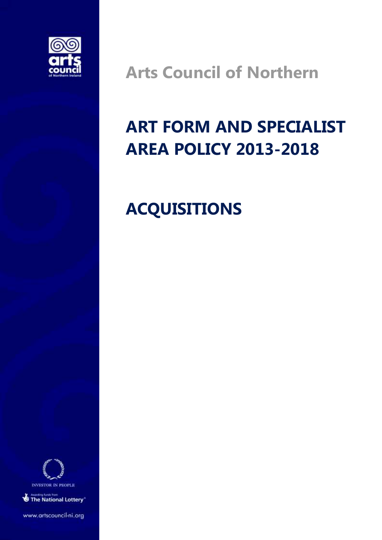

**Arts Council of Northern** 

# **ART FORM AND SPECIALIST AREA POLICY 2013-2018**

## **ACQUISITIONS**



The National Lottery<sup>\*</sup>

www.artscouncil-ni.org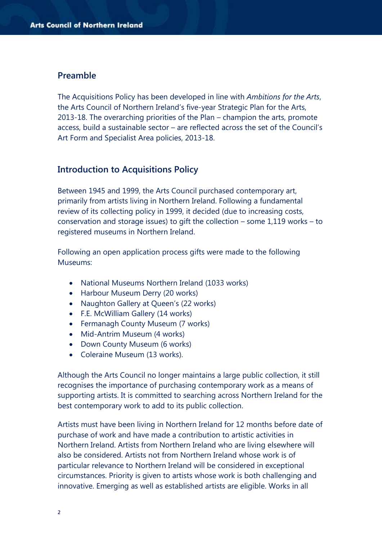#### **Preamble**

The Acquisitions Policy has been developed in line with *Ambitions for the Arts*, the Arts Council of Northern Ireland's five-year Strategic Plan for the Arts, 2013-18. The overarching priorities of the Plan – champion the arts, promote access, build a sustainable sector – are reflected across the set of the Council's Art Form and Specialist Area policies, 2013-18.

#### **Introduction to Acquisitions Policy**

Between 1945 and 1999, the Arts Council purchased contemporary art, primarily from artists living in Northern Ireland. Following a fundamental review of its collecting policy in 1999, it decided (due to increasing costs, conservation and storage issues) to gift the collection – some 1,119 works – to registered museums in Northern Ireland.

Following an open application process gifts were made to the following Museums:

- National Museums Northern Ireland (1033 works)
- Harbour Museum Derry (20 works)
- Naughton Gallery at Queen's (22 works)
- F.E. McWilliam Gallery (14 works)
- Fermanagh County Museum (7 works)
- Mid-Antrim Museum (4 works)
- Down County Museum (6 works)
- Coleraine Museum (13 works).

Although the Arts Council no longer maintains a large public collection, it still recognises the importance of purchasing contemporary work as a means of supporting artists. It is committed to searching across Northern Ireland for the best contemporary work to add to its public collection.

Artists must have been living in Northern Ireland for 12 months before date of purchase of work and have made a contribution to artistic activities in Northern Ireland. Artists from Northern Ireland who are living elsewhere will also be considered. Artists not from Northern Ireland whose work is of particular relevance to Northern Ireland will be considered in exceptional circumstances. Priority is given to artists whose work is both challenging and innovative. Emerging as well as established artists are eligible. Works in all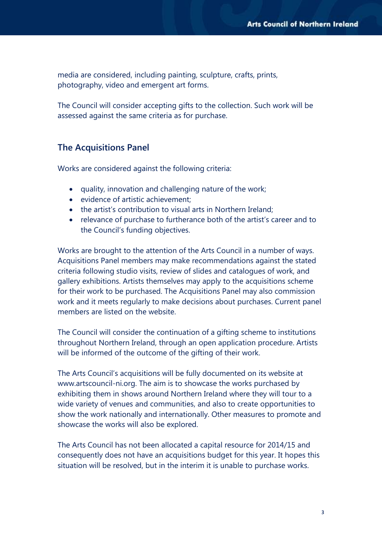media are considered, including painting, sculpture, crafts, prints, photography, video and emergent art forms.

The Council will consider accepting gifts to the collection. Such work will be assessed against the same criteria as for purchase.

#### **The Acquisitions Panel**

Works are considered against the following criteria:

- quality, innovation and challenging nature of the work;
- evidence of artistic achievement;
- the artist's contribution to visual arts in Northern Ireland;
- relevance of purchase to furtherance both of the artist's career and to the Council's funding objectives.

Works are brought to the attention of the Arts Council in a number of ways. Acquisitions Panel members may make recommendations against the stated criteria following studio visits, review of slides and catalogues of work, and gallery exhibitions. Artists themselves may apply to the acquisitions scheme for their work to be purchased. The Acquisitions Panel may also commission work and it meets regularly to make decisions about purchases. Current panel members are listed on the website.

The Council will consider the continuation of a gifting scheme to institutions throughout Northern Ireland, through an open application procedure. Artists will be informed of the outcome of the gifting of their work.

The Arts Council's acquisitions will be fully documented on its website at www.artscouncil-ni.org. The aim is to showcase the works purchased by exhibiting them in shows around Northern Ireland where they will tour to a wide variety of venues and communities, and also to create opportunities to show the work nationally and internationally. Other measures to promote and showcase the works will also be explored.

The Arts Council has not been allocated a capital resource for 2014/15 and consequently does not have an acquisitions budget for this year. It hopes this situation will be resolved, but in the interim it is unable to purchase works.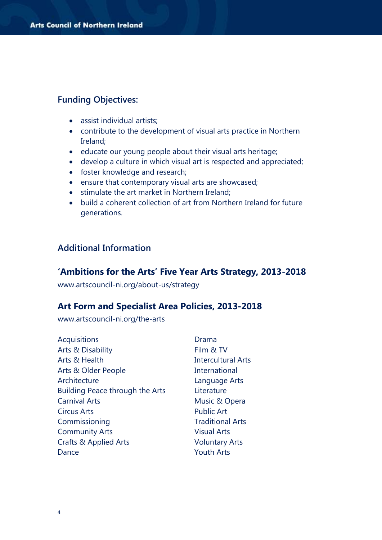#### **Funding Objectives:**

- assist individual artists;
- contribute to the development of visual arts practice in Northern Ireland;
- educate our young people about their visual arts heritage;
- develop a culture in which visual art is respected and appreciated;
- foster knowledge and research;
- ensure that contemporary visual arts are showcased;
- stimulate the art market in Northern Ireland;
- build a coherent collection of art from Northern Ireland for future generations.

#### **Additional Information**

#### **'Ambitions for the Arts' Five Year Arts Strategy, 2013-2018**

www.artscouncil-ni.org/about-us/strategy

#### **Art Form and Specialist Area Policies, 2013-2018**

www.artscouncil-ni.org/the-arts

| <b>Acquisitions</b>             | Drama                     |
|---------------------------------|---------------------------|
| <b>Arts &amp; Disability</b>    | Film & TV                 |
| Arts & Health                   | <b>Intercultural Arts</b> |
| Arts & Older People             | International             |
| Architecture                    | Language Arts             |
| Building Peace through the Arts | Literature                |
| <b>Carnival Arts</b>            | Music & Opera             |
| <b>Circus Arts</b>              | <b>Public Art</b>         |
| Commissioning                   | <b>Traditional Arts</b>   |
| <b>Community Arts</b>           | <b>Visual Arts</b>        |
| Crafts & Applied Arts           | <b>Voluntary Arts</b>     |
| Dance                           | <b>Youth Arts</b>         |
|                                 |                           |